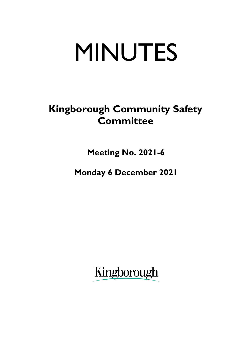# MINUTES

# **Kingborough Community Safety Committee**

**Meeting No. 2021-6**

**Monday 6 December 2021**

Kingborough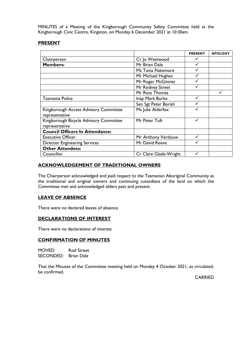MINUTES of a Meeting of the Kingborough Community Safety Committee held at the Kingborough Civic Centre, Kingston, on Monday 6 December 2021 at 10:30am.

# **PRESENT**

|                                                          |                       | <b>PRESENT</b> | <b>APOLOGY</b> |
|----------------------------------------------------------|-----------------------|----------------|----------------|
| Chairperson                                              | Cr Jo Westwood        |                |                |
| <b>Members:</b>                                          | Mr Brian Dale         |                |                |
|                                                          | Ms Tania Flakemore    |                |                |
|                                                          | Mr Michael Hughes     |                |                |
|                                                          | Mr Roger McGinniss    |                |                |
|                                                          | Mr Rodney Street      |                |                |
|                                                          | Mr Ross Thomas        |                |                |
| Tasmania Police                                          | Insp Mark Burke       |                |                |
|                                                          | Sen Sgt Peter Borish  |                |                |
| Kingborough Access Advisory Committee<br>representative  | Ms Julie Alderfox     |                |                |
| Kingborough Bicycle Advisory Committee<br>representative | Mr Peter Tuft         |                |                |
| <b>Council Officers In Attendance:</b>                   |                       |                |                |
| <b>Executive Officer</b>                                 | Mr Anthony Verdouw    |                |                |
| <b>Director Engineering Services</b>                     | Mr David Reeve        |                |                |
| <b>Other Attendees:</b>                                  |                       |                |                |
| Councillor                                               | Cr Clare Glade-Wright | ✓              |                |

# **ACKNOWLEDGEMENT OF TRADITIONAL OWNERS**

The Chairperson acknowledged and paid respect to the Tasmanian Aboriginal Community as the traditional and original owners and continuing custodians of the land on which the Committee met and acknowledged elders past and present.

# **LEAVE OF ABSENCE**

There were no declared leaves of absence.

# **DECLARATIONS OF INTEREST**

There were no declarations of interest.

#### **CONFIRMATION OF MINUTES**

MOVED: Rod Street SECONDED: Brian Dale

That the Minutes of the Committee meeting held on Monday 4 October 2021, as circulated, be confirmed.

CARRIED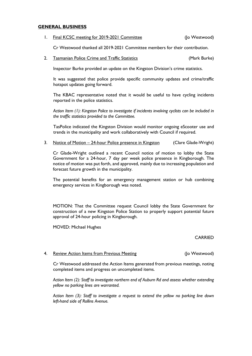#### **GENERAL BUSINESS**

| Final KCSC meeting for 2019-2021 Committee | (Jo Westwood) |
|--------------------------------------------|---------------|
|                                            |               |

Cr Westwood thanked all 2019-2021 Committee members for their contribution.

#### 2. Tasmanian Police Crime and Traffic Statistics (Mark Burke)

Inspector Burke provided an update on the Kingston Division's crime statistics.

It was suggested that police provide specific community updates and crime/traffic hotspot updates going forward.

The KBAC representative noted that it would be useful to have cycling incidents reported in the police statistics.

*Action Item (1): Kingston Police to investigate if incidents involving cyclists can be included in the traffic statistics provided to the Committee.*

TasPolice indicated the Kingston Division would monitor ongoing eScooter use and trends in the municipality and work collaboratively with Council if required.

3. Notice of Motion – 24-hour Police presence in Kingston (Clare Glade-Wright)

Cr Glade-Wright outlined a recent Council notice of motion to lobby the State Government for a 24-hour, 7 day per week police presence in Kingborough. The notice of motion was put forth, and approved, mainly due to increasing population and forecast future growth in the municipality.

The potential benefits for an emergency management station or hub combining emergency services in Kingborough was noted.

MOTION: That the Committee request Council lobby the State Government for construction of a new Kingston Police Station to properly support potential future approval of 24-hour policing in Kingborough.

MOVED: Michael Hughes

#### CARRIED

#### 4. Review Action Items from Previous Meeting Theorem (Jo Westwood)

Cr Westwood addressed the Action Items generated from previous meetings, noting completed items and progress on uncompleted items.

*Action Item (2): Staff to investigate northern end of Auburn Rd and assess whether extending yellow no parking lines are warranted.*

*Action Item (3): Staff to investigate a request to extend the yellow no parking line down left-hand side of Rollins Avenue.*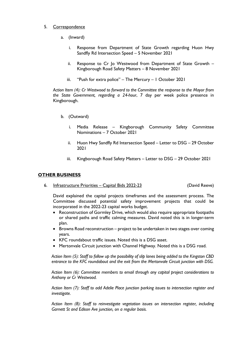## 5. Correspondence

- a. (Inward)
	- i. Response from Department of State Growth regarding Huon Hwy Sandfly Rd Intersection Speed – 5 November 2021
	- ii. Response to Cr Jo Westwood from Department of State Growth Kingborough Road Safety Matters – 8 November 2021
	- iii. "Push for extra police" The Mercury 1 October 2021

*Action Item (4): Cr Westwood to forward to the Committee the response to the Mayor from the State Government, regarding a 24-hour*, 7 day per week police presence in Kingborough.

- b. (Outward)
	- i. Media Release Kingborough Community Safety Committee Nominations – 7 October 2021
	- ii. Huon Hwy Sandfly Rd Intersection Speed Letter to DSG 29 October 2021
	- iii. Kingborough Road Safety Matters Letter to DSG 29 October 2021

# **OTHER BUSINESS**

6. Infrastructure Priorities – Capital Bids 2022-23 (David Reeve)

David explained the capital projects timeframes and the assessment process. The Committee discussed potential safety improvement projects that could be incorporated in the 2022-23 capital works budget.

- Reconstruction of Gormley Drive, which would also require appropriate footpaths or shared paths and traffic calming measures. David noted this is in longer-term plan.
- Browns Road reconstruction project to be undertaken in two stages over coming years.
- KFC roundabout traffic issues. Noted this is a DSG asset.
- Mertonvale Circuit junction with Channel Highway. Noted this is a DSG road.

*Action Item (5): Staff to follow up the possibility of slip lanes being added to the Kingston CBD entrance to the KFC roundabout and the exit from the Mertonvale Circuit junction with DSG.*

*Action Item (6): Committee members to email through any capital project considerations to Anthony or Cr Westwood.*

*Action Item (7): Staff to add Adelie Place junction parking issues to intersection register and investigate.*

*Action Item (8): Staff to reinvestigate vegetation issues on intersection register, including Garnett St and Edison Ave junction, on a regular basis.*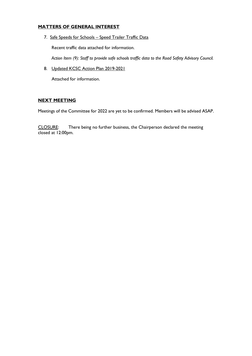# **MATTERS OF GENERAL INTEREST**

7. Safe Speeds for Schools – Speed Trailer Traffic Data

Recent traffic data attached for information.

*Action Item (9): Staff to provide safe schools traffic data to the Road Safety Advisory Council.*

8. Updated KCSC Action Plan 2019-2021

Attached for information.

# **NEXT MEETING**

Meetings of the Committee for 2022 are yet to be confirmed. Members will be advised ASAP.

CLOSURE: There being no further business, the Chairperson declared the meeting closed at 12:00pm.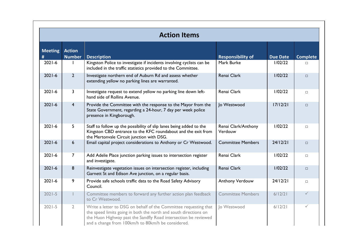|                | <b>Action Items</b> |                                                                                                                                                                                                                                                               |                                |                 |                 |  |
|----------------|---------------------|---------------------------------------------------------------------------------------------------------------------------------------------------------------------------------------------------------------------------------------------------------------|--------------------------------|-----------------|-----------------|--|
| <b>Meeting</b> | <b>Action</b>       |                                                                                                                                                                                                                                                               |                                |                 |                 |  |
| #              | <b>Number</b>       | <b>Description</b>                                                                                                                                                                                                                                            | <b>Responsibility of</b>       | <b>Due Date</b> | <b>Complete</b> |  |
| $2021 - 6$     | T                   | Kingston Police to investigate if incidents involving cyclists can be<br>included in the traffic statistics provided to the Committee.                                                                                                                        | Mark Burke                     | 1/02/22         | $\Box$          |  |
| $2021 - 6$     | $\overline{2}$      | Investigate northern end of Auburn Rd and assess whether<br>extending yellow no parking lines are warranted.                                                                                                                                                  | Renai Clark                    | 1/02/22         | $\Box$          |  |
| $2021 - 6$     | 3                   | Investigate request to extend yellow no parking line down left-<br>hand side of Rollins Avenue.                                                                                                                                                               | Renai Clark                    | 1/02/22         | $\Box$          |  |
| $2021 - 6$     | $\overline{4}$      | Provide the Committee with the response to the Mayor from the<br>State Government, regarding a 24-hour, 7 day per week police<br>presence in Kingborough.                                                                                                     | Jo Westwood                    | 17/12/21        | $\Box$          |  |
| $2021 - 6$     | 5                   | Staff to follow up the possibility of slip lanes being added to the<br>Kingston CBD entrance to the KFC roundabout and the exit from<br>the Mertonvale Circuit junction with DSG.                                                                             | Renai Clark/Anthony<br>Verdouw | 1/02/22         | $\Box$          |  |
| $2021 - 6$     | $6\overline{6}$     | Email capital project considerations to Anthony or Cr Westwood.                                                                                                                                                                                               | <b>Committee Members</b>       | 24/12/21        | $\Box$          |  |
| $2021 - 6$     | $\overline{7}$      | Add Adelie Place junction parking issues to intersection register<br>and investigate.                                                                                                                                                                         | Renai Clark                    | 1/02/22         | $\Box$          |  |
| $2021 - 6$     | 8                   | Reinvestigate vegetation issues on intersection register, including<br>Garnett St and Edison Ave junction, on a regular basis.                                                                                                                                | Renai Clark                    | 1/02/22         | $\Box$          |  |
| $2021 - 6$     | 9                   | Provide safe schools traffic data to the Road Safety Advisory<br>Council.                                                                                                                                                                                     | Anthony Verdouw                | 24/12/21        | $\Box$          |  |
| $2021 - 5$     |                     | Committee members to forward any further action plan feedback<br>to Cr Westwood.                                                                                                                                                                              | <b>Committee Members</b>       | 6/12/21         | $\checkmark$    |  |
| $2021 - 5$     | $\overline{2}$      | Write a letter to DSG on behalf of the Committee requesting that<br>the speed limits going in both the north and south directions on<br>the Huon Highway past the Sandfly Road intersection be reviewed<br>and a change from 100km/h to 80km/h be considered. | Jo Westwood                    | 6/12/21         | ✓               |  |